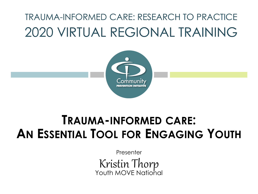## TRAUMA-INFORMED CARE: RESEARCH TO PRACTICE 2020 VIRTUAL REGIONAL TRAINING



## **TRAUMA-INFORMED CARE: AN ESSENTIAL TOOL FOR ENGAGING YOUTH**

Presenter Kristin Thorp Youth MOVE National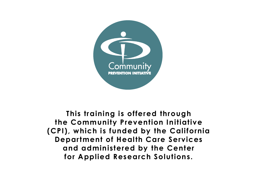

**This training is offered through the Community Prevention Initiative (CPI), which is funded by the California Department of Health Care Services and administered by the Center for Applied Research Solutions.**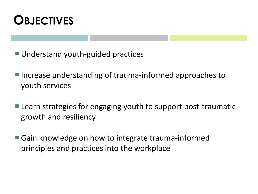

- Understand youth-guided practices
- Increase understanding of trauma-informed approaches to youth services
- Learn strategies for engaging youth to support post-traumatic growth and resiliency
- Gain knowledge on how to integrate trauma-informed principles and practices into the workplace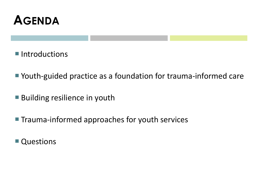

■ Introductions

- Youth-guided practice as a foundation for trauma-informed care
- **Building resilience in youth**
- **Trauma-informed approaches for youth services**
- Questions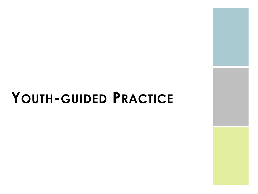# **YOUTH-GUIDED PRACTICE**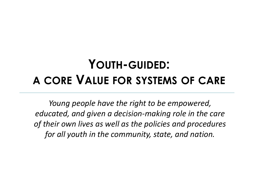## **YOUTH-GUIDED: A CORE VALUE FOR SYSTEMS OF CARE**

*Young people have the right to be empowered, educated, and given a decision-making role in the care of their own lives as well as the policies and procedures for all youth in the community, state, and nation.*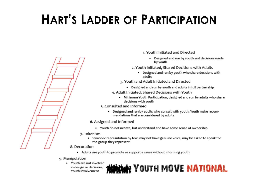# **HART'S LADDER OF PARTICIPATION**



- 1. Youth Initiated and Directed
	- Designed and run by youth and decisions made by youth
- 2. Youth Initiated, Shared Decisions with Adults
	- Designed and run by youth who share decisions with adults
- 3. Youth and Adult Initiated and Directed
	- Designed and run by youth and adults in full partnership
- 4. Adult Initiated, Shared Decisions with Youth
	- . Minimum Youth Participation, designed and run by adults who share decisions with youth
- 5. Consulted and Informed
	- Designed and run by adults who consult with youth, Youth make recommendations that are considered by adults
- 6. Assigned and Informed
	- Youth do not initiate, but understand and have some sense of ownership
- 7. Tokenism
	- Symbolic represntation by few, may not have genuine voice, may be asked to speak for the group they represent
- - Adults use youth to promote or support a cause without informing youth
- 9. Manipulation
	- Youth are not involved in design or decisions; Youth involvement

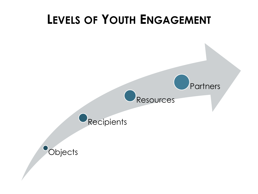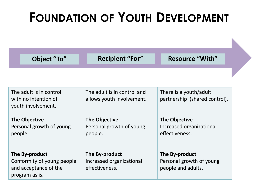# **FOUNDATION OF YOUTH DEVELOPMENT**

| Object "To"                                      | <b>Recipient "For"</b>                           | <b>Resource "With"</b>                    |
|--------------------------------------------------|--------------------------------------------------|-------------------------------------------|
|                                                  |                                                  |                                           |
|                                                  |                                                  |                                           |
| The adult is in control                          | The adult is in control and                      | There is a youth/adult                    |
| with no intention of<br>youth involvement.       | allows youth involvement.                        | partnership (shared control).             |
|                                                  |                                                  |                                           |
| <b>The Objective</b><br>Personal growth of young | <b>The Objective</b><br>Personal growth of young | The Objective<br>Increased organizational |
| people.                                          | people.                                          | effectiveness.                            |
|                                                  |                                                  |                                           |
| The By-product                                   | The By-product                                   | The By-product                            |
| Conformity of young people                       | Increased organizational                         | Personal growth of young                  |
| and acceptance of the<br>program as is.          | effectiveness.                                   | people and adults.                        |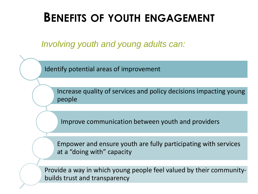## **BENEFITS OF YOUTH ENGAGEMENT**

*Involving youth and young adults can:* 

Identify potential areas of improvement

Increase quality of services and policy decisions impacting young people

Improve communication between youth and providers

Empower and ensure youth are fully participating with services at a "doing with" capacity

Provide a way in which young people feel valued by their communitybuilds trust and transparency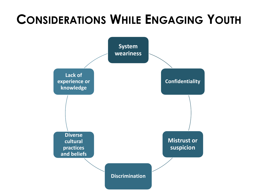# **CONSIDERATIONS WHILE ENGAGING YOUTH**

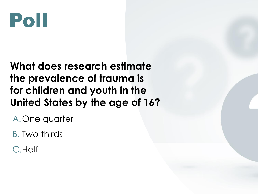

#### **What does research estimate the prevalence of trauma is for children and youth in the United States by the age of 16?**

A.One quarter

B. Two thirds

C.Half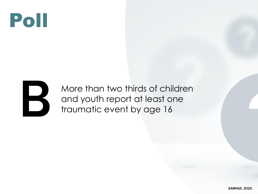



More than two thirds of children More than two thirds of childre<br>and youth report at least one<br>traumatic event by age 16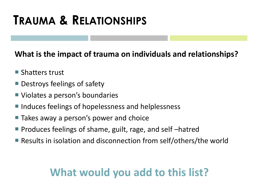## **TRAUMA & RELATIONSHIPS**

#### **What is the impact of trauma on individuals and relationships?**

- **Shatters trust**
- Destroys feelings of safety
- Violates a person's boundaries
- Induces feelings of hopelessness and helplessness
- Takes away a person's power and choice
- **Produces feelings of shame, guilt, rage, and self-hatred**
- Results in isolation and disconnection from self/others/the world

### **What would you add to this list?**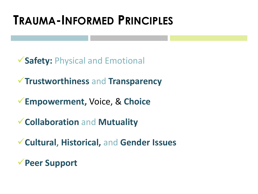## **TRAUMA-INFORMED PRINCIPLES**

✓**Safety:** Physical and Emotional

✓**Trustworthiness** and **Transparency**

✓**Empowerment,** Voice, & **Choice**

✓**Collaboration** and **Mutuality**

✓**Cultural**, **Historical,** and **Gender Issues**

✓**Peer Support**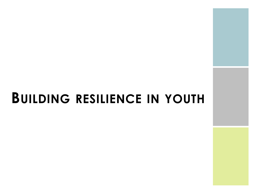# **BUILDING RESILIENCE IN YOUTH**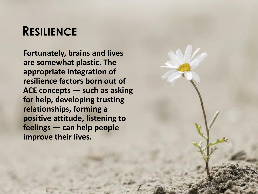## **RESILIENCE**

**Fortunately, brains and lives are somewhat plastic. The appropriate integration of resilience factors born out of ACE concepts — such as asking for help, developing trusting relationships, forming a positive attitude, listening to feelings — can help people improve their lives.**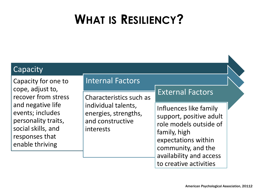# **WHAT IS RESILIENCY?**

#### **Capacity**

Capacity for one to cope, adjust to, recover from stress and negative life events; includes personality traits, social skills, and responses that enable thriving

#### Internal Factors

Characteristics such as individual talents, energies, strengths, and constructive interests

#### External Factors

Influences like family support, positive adult role models outside of family, high expectations within community, and the availability and access to creative activities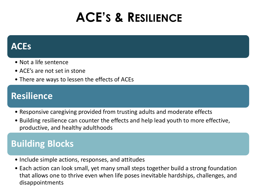# **ACE'S & RESILIENCE**

#### **ACEs**

- Not a life sentence
- ACE's are not set in stone
- There are ways to lessen the effects of ACEs

#### **Resilience**

- Responsive caregiving provided from trusting adults and moderate effects
- Building resilience can counter the effects and help lead youth to more effective, productive, and healthy adulthoods

#### **Building Blocks**

- Include simple actions, responses, and attitudes
- Each action can look small, yet many small steps together build a strong foundation that allows one to thrive even when life poses inevitable hardships, challenges, and disappointments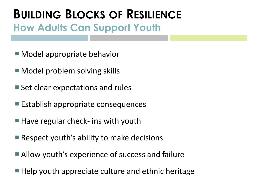## **BUILDING BLOCKS OF RESILIENCE How Adults Can Support Youth**

- Model appropriate behavior
- Model problem solving skills
- Set clear expectations and rules
- Establish appropriate consequences
- $\blacksquare$  Have regular check- ins with youth
- Respect youth's ability to make decisions
- Allow youth's experience of success and failure
- $\blacksquare$  Help youth appreciate culture and ethnic heritage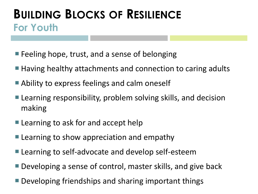## **BUILDING BLOCKS OF RESILIENCE For Youth**

- **Feeling hope, trust, and a sense of belonging**
- Having healthy attachments and connection to caring adults
- Ability to express feelings and calm oneself
- **Learning responsibility, problem solving skills, and decision** making
- **Learning to ask for and accept help**
- **Learning to show appreciation and empathy**
- **Learning to self-advocate and develop self-esteem**
- Developing a sense of control, master skills, and give back
- **Developing friendships and sharing important things**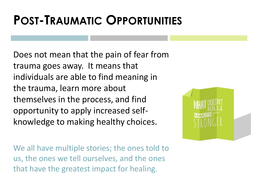# **POST-TRAUMATIC OPPORTUNITIES**

Does not mean that the pain of fear from trauma goes away. It means that individuals are able to find meaning in the trauma, learn more about themselves in the process, and find opportunity to apply increased selfknowledge to making healthy choices.



We all have multiple stories; the ones told to us, the ones we tell ourselves, and the ones that have the greatest impact for healing.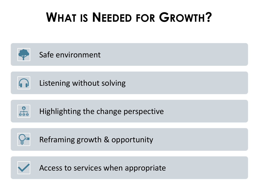# **WHAT IS NEEDED FOR GROWTH?**





Listening without solving



Highlighting the change perspective



Reframing growth & opportunity



Access to services when appropriate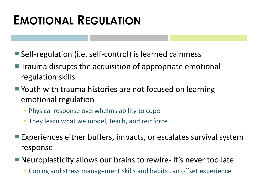## **EMOTIONAL REGULATION**

- Self-regulation (i.e. self-control) is learned calmness
- **The Trauma disrupts the acquisition of appropriate emotional** regulation skills
- Youth with trauma histories are not focused on learning emotional regulation
	- Physical response overwhelms ability to cope
	- They learn what we model, teach, and reinforce
- Experiences either buffers, impacts, or escalates survival system response
- Neuroplasticity allows our brains to rewire- it's never too late
	- Coping and stress management skills and habits can offset experience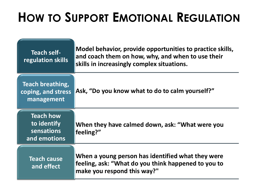# **HOW TO SUPPORT EMOTIONAL REGULATION**

| <b>Teach self-</b><br>regulation skills                              | Model behavior, provide opportunities to practice skills,<br>and coach them on how, why, and when to use their<br>skills in increasingly complex situations. |
|----------------------------------------------------------------------|--------------------------------------------------------------------------------------------------------------------------------------------------------------|
| Teach breathing,<br>coping, and stress<br>management                 | Ask, "Do you know what to do to calm yourself?"                                                                                                              |
| <b>Teach how</b><br>to identify<br><b>sensations</b><br>and emotions | When they have calmed down, ask: "What were you<br>feeling?"                                                                                                 |
| <b>Teach cause</b><br>and effect                                     | When a young person has identified what they were<br>feeling, ask: "What do you think happened to you to<br>make you respond this way?"                      |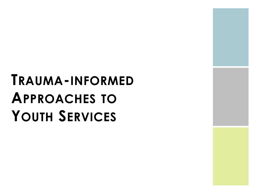# **TRAUMA-INFORMED APPROACHES TO YOUTH SERVICES**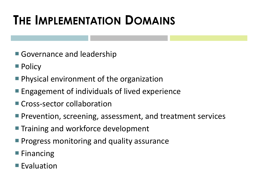# **THE IMPLEMENTATION DOMAINS**

- Governance and leadership
- **Policy**
- **Physical environment of the organization**
- **Engagement of individuals of lived experience**
- **Cross-sector collaboration**
- **Prevention, screening, assessment, and treatment services**
- **Training and workforce development**
- **Progress monitoring and quality assurance**
- $\blacksquare$  Financing
- $\blacksquare$  Evaluation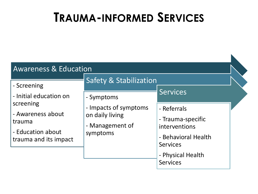## **TRAUMA-INFORMED SERVICES**

| <b>Awareness &amp; Education</b>                                                       |                                                                         |                                                                                             |  |
|----------------------------------------------------------------------------------------|-------------------------------------------------------------------------|---------------------------------------------------------------------------------------------|--|
| - Screening                                                                            | <b>Safety &amp; Stabilization</b>                                       |                                                                                             |  |
| - Initial education on                                                                 | - Symptoms                                                              | <b>Services</b>                                                                             |  |
| screening<br>- Awareness about<br>trauma<br>- Education about<br>trauma and its impact | - Impacts of symptoms<br>on daily living<br>- Management of<br>symptoms | - Referrals<br>- Trauma-specific<br>interventions<br>- Behavioral Health<br><b>Services</b> |  |
|                                                                                        |                                                                         | - Physical Health<br><b>Services</b>                                                        |  |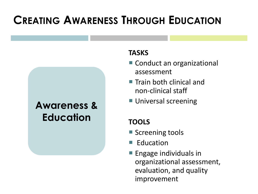## **CREATING AWARENESS THROUGH EDUCATION**

## **Awareness & Education**

#### **TASKS**

- Conduct an organizational assessment
- $\blacksquare$  Train both clinical and non-clinical staff
- **Universal screening**

#### **TOOLS**

- Screening tools
- $\blacksquare$  Education
- **Engage individuals in** organizational assessment, evaluation, and quality improvement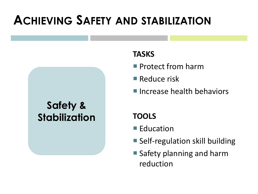## **ACHIEVING SAFETY AND STABILIZATION**

#### **Safety & Stabilization**

#### **TASKS**

- **Protect from harm**
- Reduce risk
- **Increase health behaviors**

#### **TOOLS**

- Education
- Self-regulation skill building
- **Safety planning and harm** reduction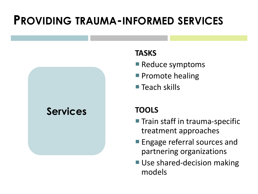## **PROVIDING TRAUMA-INFORMED SERVICES**



#### **TASKS**

- Reduce symptoms
- **Promote healing**
- $\blacksquare$  Teach skills

#### **TOOLS**

- **Train staff in trauma-specific** treatment approaches
- **Engage referral sources and** partnering organizations
- Use shared-decision making models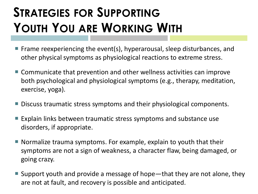# **STRATEGIES FOR SUPPORTING YOUTH YOU ARE WORKING WITH**

- Frame reexperiencing the event(s), hyperarousal, sleep disturbances, and other physical symptoms as physiological reactions to extreme stress.
- Communicate that prevention and other wellness activities can improve both psychological and physiological symptoms (e.g., therapy, meditation, exercise, yoga).
- Discuss traumatic stress symptoms and their physiological components.
- Explain links between traumatic stress symptoms and substance use disorders, if appropriate.
- $\blacksquare$  Normalize trauma symptoms. For example, explain to youth that their symptoms are not a sign of weakness, a character flaw, being damaged, or going crazy.
- Support youth and provide a message of hope—that they are not alone, they are not at fault, and recovery is possible and anticipated.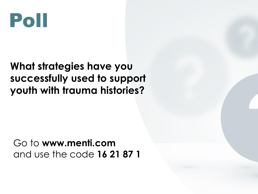

#### **What strategies have you successfully used to support youth with trauma histories?**

Go to **www.menti.com**  and use the code **16 21 87 1**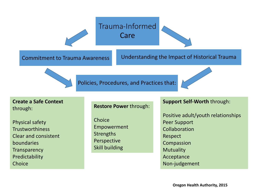

**Create a Safe Context**  through:

Physical safety **Trustworthiness** Clear and consistent boundaries **Transparency** Predictability **Choice** 

#### **Restore Power** through:

**Choice** Empowerment **Strengths** Perspective Skill building

#### **Support Self-Worth** through:

Positive adult/youth relationships Peer Support Collaboration Respect Compassion Mutuality Acceptance Non-judgement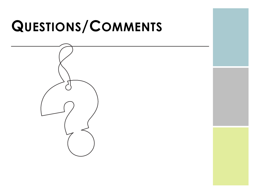# **QUESTIONS/COMMENTS**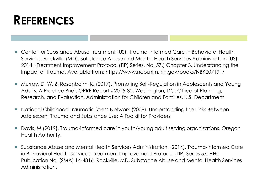

- Center for Substance Abuse Treatment (US). Trauma-Informed Care in Behavioral Health Services. Rockville (MD): Substance Abuse and Mental Health Services Administration (US); 2014. (Treatment Improvement Protocol (TIP) Series, No. 57.) Chapter 3, Understanding the Impact of Trauma. Available from: https://www.ncbi.nlm.nih.gov/books/NBK207191/
- Murray, D. W. & Rosanbalm, K. (2017). Promoting Self-Regulation in Adolescents and Young Adults: A Practice Brief. OPRE Report #2015-82. Washington, DC: Office of Planning, Research, and Evaluation, Administration for Children and Families, U.S. Department
- National Childhood Traumatic Stress Network (2008). Understanding the Links Between Adolescent Trauma and Substance Use: A Toolkit for Providers
- Davis, M.(2019). Trauma-informed care in youth/young adult serving organizations. Oregon Health Authority.
- Substance Abuse and Mental Health Services Administration. (2014). Trauma-informed Care in Behavioral Health Services. Treatment Improvement Protocol (TIP) Series 57. HHs Publication No. (SMA) 14-4816. Rockville, MD, Substance Abuse and Mental Health Services Administration.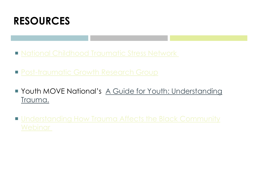

- **[National Childhood Traumatic Stress Network](https://www.nctsn.org/)**
- **[Post-traumatic Growth Research Group](https://ptgi.uncc.edu/)**
- **Youth MOVE National's [A Guide for Youth: Understanding](https://youthmovenational.org/wp-content/uploads/2019/05/Youth-Trauma-Guide-Understanding-Trauma.pdf)** Trauma.
- **Understanding How Trauma Affects the Black Community**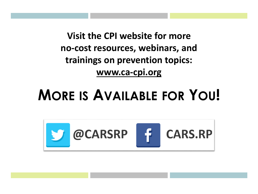**Visit the CPI website for more no-cost resources, webinars, and trainings on prevention topics: www.ca-cpi.org**

# **MORE IS AVAILABLE FOR YOU!**